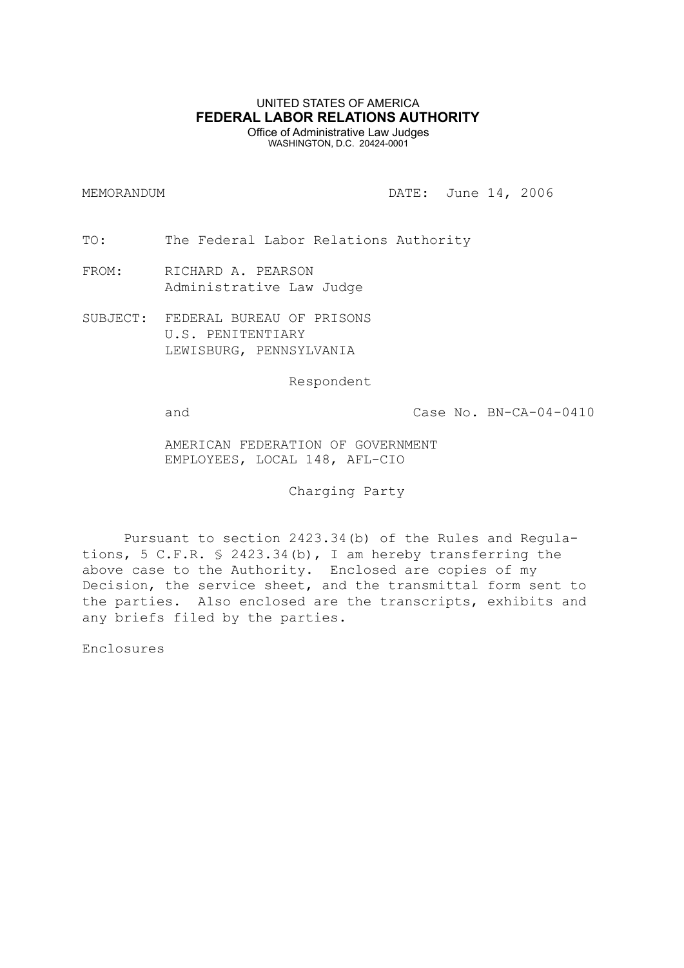## UNITED STATES OF AMERICA **FEDERAL LABOR RELATIONS AUTHORITY** Office of Administrative Law Judges

WASHINGTON, D.C. 20424-0001

MEMORANDUM DATE: June 14, 2006

TO: The Federal Labor Relations Authority

- FROM: RICHARD A. PEARSON Administrative Law Judge
- SUBJECT: FEDERAL BUREAU OF PRISONS U.S. PENITENTIARY LEWISBURG, PENNSYLVANIA

Respondent

and Case No. BN-CA-04-0410

AMERICAN FEDERATION OF GOVERNMENT EMPLOYEES, LOCAL 148, AFL-CIO

Charging Party

Pursuant to section 2423.34(b) of the Rules and Regulations, 5 C.F.R. § 2423.34(b), I am hereby transferring the above case to the Authority. Enclosed are copies of my Decision, the service sheet, and the transmittal form sent to the parties. Also enclosed are the transcripts, exhibits and any briefs filed by the parties.

Enclosures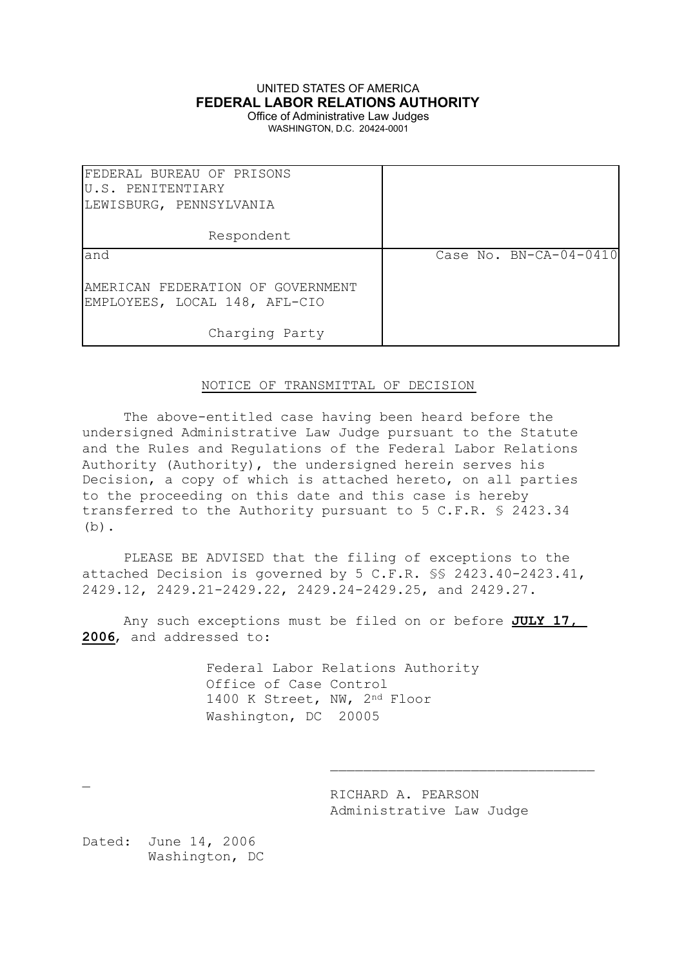# UNITED STATES OF AMERICA **FEDERAL LABOR RELATIONS AUTHORITY**

Office of Administrative Law Judges WASHINGTON, D.C. 20424-0001

| FEDERAL BUREAU OF PRISONS<br>U.S. PENITENTIARY<br>LEWISBURG, PENNSYLVANIA |                          |
|---------------------------------------------------------------------------|--------------------------|
| Respondent                                                                |                          |
| land                                                                      | Case No. $BN-CA-04-0410$ |
| AMERICAN FEDERATION OF GOVERNMENT<br>EMPLOYEES, LOCAL 148, AFL-CIO        |                          |
| Charging Party                                                            |                          |

## NOTICE OF TRANSMITTAL OF DECISION

The above-entitled case having been heard before the undersigned Administrative Law Judge pursuant to the Statute and the Rules and Regulations of the Federal Labor Relations Authority (Authority), the undersigned herein serves his Decision, a copy of which is attached hereto, on all parties to the proceeding on this date and this case is hereby transferred to the Authority pursuant to 5 C.F.R. § 2423.34  $(b)$ .

PLEASE BE ADVISED that the filing of exceptions to the attached Decision is governed by 5 C.F.R. §§ 2423.40-2423.41, 2429.12, 2429.21-2429.22, 2429.24-2429.25, and 2429.27.

Any such exceptions must be filed on or before **JULY 17, 2006**, and addressed to:

> Federal Labor Relations Authority Office of Case Control 1400 K Street, NW, 2nd Floor Washington, DC 20005

> > RICHARD A. PEARSON Administrative Law Judge

\_\_\_\_\_\_\_\_\_\_\_\_\_\_\_\_\_\_\_\_\_\_\_\_\_\_\_\_\_\_\_\_

Dated: June 14, 2006 Washington, DC

 $\overline{a}$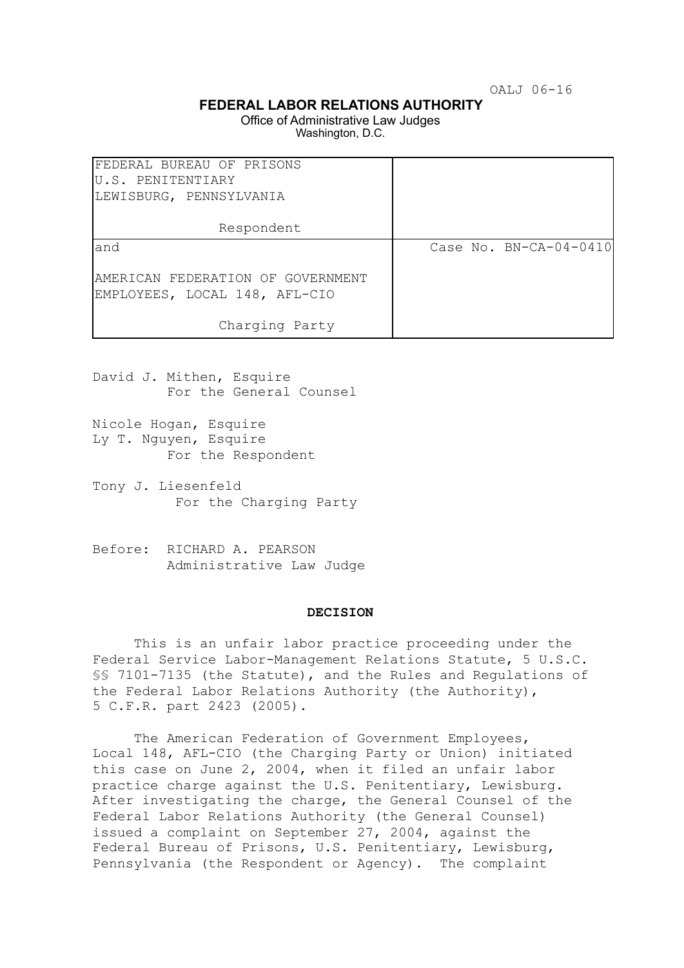OALJ 06-16

## **FEDERAL LABOR RELATIONS AUTHORITY**

Office of Administrative Law Judges Washington, D.C.

| FEDERAL BUREAU OF PRISONS<br>U.S. PENITENTIARY<br>LEWISBURG, PENNSYLVANIA |                        |
|---------------------------------------------------------------------------|------------------------|
| Respondent                                                                |                        |
| land                                                                      | Case No. BN-CA-04-0410 |
| AMERICAN FEDERATION OF GOVERNMENT<br>EMPLOYEES, LOCAL 148, AFL-CIO        |                        |
| Charging Party                                                            |                        |

David J. Mithen, Esquire For the General Counsel

- Nicole Hogan, Esquire Ly T. Nguyen, Esquire For the Respondent
- Tony J. Liesenfeld For the Charging Party
- Before: RICHARD A. PEARSON Administrative Law Judge

#### **DECISION**

This is an unfair labor practice proceeding under the Federal Service Labor-Management Relations Statute, 5 U.S.C. §§ 7101-7135 (the Statute), and the Rules and Regulations of the Federal Labor Relations Authority (the Authority), 5 C.F.R. part 2423 (2005).

The American Federation of Government Employees, Local 148, AFL-CIO (the Charging Party or Union) initiated this case on June 2, 2004, when it filed an unfair labor practice charge against the U.S. Penitentiary, Lewisburg. After investigating the charge, the General Counsel of the Federal Labor Relations Authority (the General Counsel) issued a complaint on September 27, 2004, against the Federal Bureau of Prisons, U.S. Penitentiary, Lewisburg, Pennsylvania (the Respondent or Agency). The complaint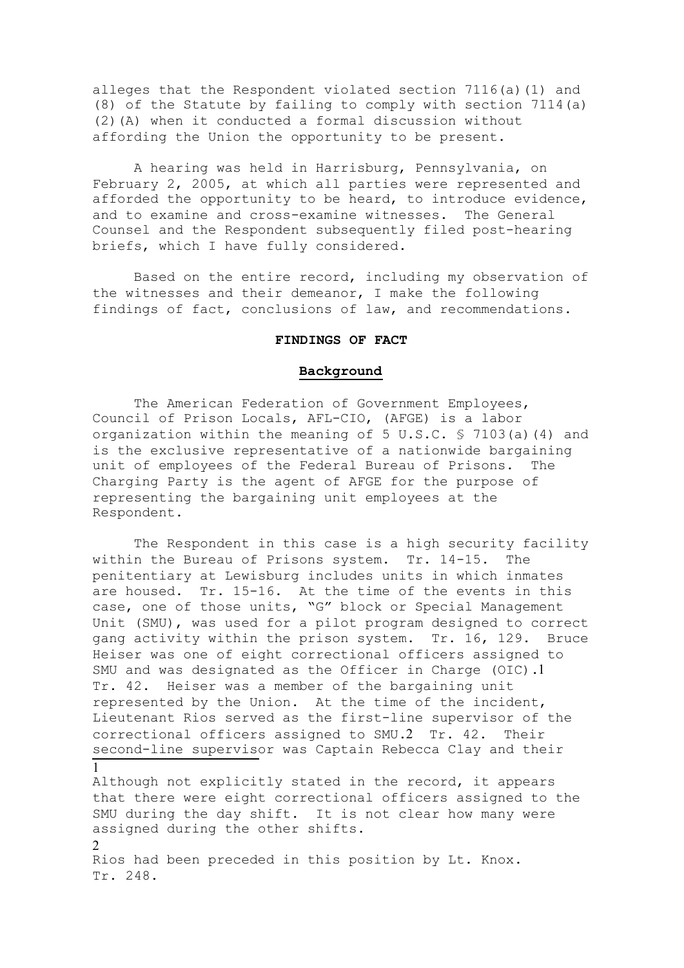alleges that the Respondent violated section 7116(a)(1) and (8) of the Statute by failing to comply with section 7114(a) (2)(A) when it conducted a formal discussion without affording the Union the opportunity to be present.

A hearing was held in Harrisburg, Pennsylvania, on February 2, 2005, at which all parties were represented and afforded the opportunity to be heard, to introduce evidence, and to examine and cross-examine witnesses. The General Counsel and the Respondent subsequently filed post-hearing briefs, which I have fully considered.

Based on the entire record, including my observation of the witnesses and their demeanor, I make the following findings of fact, conclusions of law, and recommendations.

## **FINDINGS OF FACT**

## **Background**

The American Federation of Government Employees, Council of Prison Locals, AFL-CIO, (AFGE) is a labor organization within the meaning of 5 U.S.C. § 7103(a)(4) and is the exclusive representative of a nationwide bargaining unit of employees of the Federal Bureau of Prisons. The Charging Party is the agent of AFGE for the purpose of representing the bargaining unit employees at the Respondent.

The Respondent in this case is a high security facility within the Bureau of Prisons system. Tr. 14-15. The penitentiary at Lewisburg includes units in which inmates are housed. Tr. 15-16. At the time of the events in this case, one of those units, "G" block or Special Management Unit (SMU), was used for a pilot program designed to correct gang activity within the prison system. Tr. 16, 129. Bruce Heiser was one of eight correctional officers assigned to SMU and was designated as the Officer in Charge (OIC).1 Tr. 42. Heiser was a member of the bargaining unit represented by the Union. At the time of the incident, Lieutenant Rios served as the first-line supervisor of the correctional officers assigned to SMU.2 Tr. 42. Their second-line supervisor was Captain Rebecca Clay and their 1

Although not explicitly stated in the record, it appears that there were eight correctional officers assigned to the SMU during the day shift. It is not clear how many were assigned during the other shifts. 2

Rios had been preceded in this position by Lt. Knox. Tr. 248.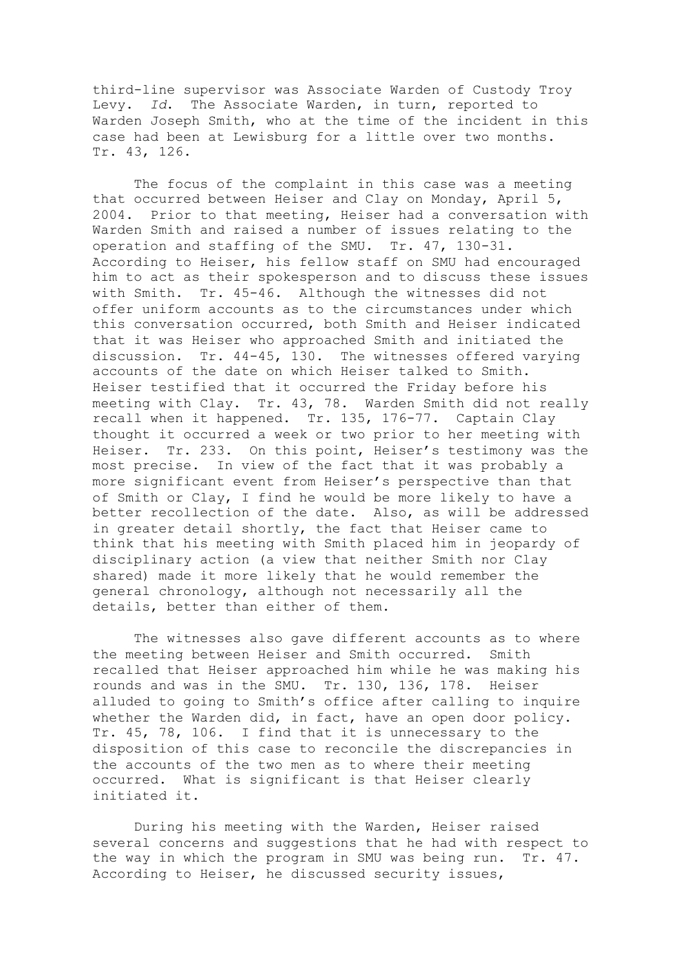third-line supervisor was Associate Warden of Custody Troy Levy. *Id*. The Associate Warden, in turn, reported to Warden Joseph Smith, who at the time of the incident in this case had been at Lewisburg for a little over two months. Tr. 43, 126.

The focus of the complaint in this case was a meeting that occurred between Heiser and Clay on Monday, April 5, 2004. Prior to that meeting, Heiser had a conversation with Warden Smith and raised a number of issues relating to the operation and staffing of the SMU. Tr. 47, 130-31. According to Heiser, his fellow staff on SMU had encouraged him to act as their spokesperson and to discuss these issues with Smith. Tr. 45-46. Although the witnesses did not offer uniform accounts as to the circumstances under which this conversation occurred, both Smith and Heiser indicated that it was Heiser who approached Smith and initiated the discussion. Tr. 44-45, 130. The witnesses offered varying accounts of the date on which Heiser talked to Smith. Heiser testified that it occurred the Friday before his meeting with Clay. Tr. 43, 78. Warden Smith did not really recall when it happened. Tr. 135, 176-77. Captain Clay thought it occurred a week or two prior to her meeting with Heiser. Tr. 233. On this point, Heiser's testimony was the most precise. In view of the fact that it was probably a more significant event from Heiser's perspective than that of Smith or Clay, I find he would be more likely to have a better recollection of the date. Also, as will be addressed in greater detail shortly, the fact that Heiser came to think that his meeting with Smith placed him in jeopardy of disciplinary action (a view that neither Smith nor Clay shared) made it more likely that he would remember the general chronology, although not necessarily all the details, better than either of them.

The witnesses also gave different accounts as to where the meeting between Heiser and Smith occurred. Smith recalled that Heiser approached him while he was making his rounds and was in the SMU. Tr. 130, 136, 178. Heiser alluded to going to Smith's office after calling to inquire whether the Warden did, in fact, have an open door policy. Tr. 45, 78, 106. I find that it is unnecessary to the disposition of this case to reconcile the discrepancies in the accounts of the two men as to where their meeting occurred. What is significant is that Heiser clearly initiated it.

During his meeting with the Warden, Heiser raised several concerns and suggestions that he had with respect to the way in which the program in SMU was being run. Tr. 47. According to Heiser, he discussed security issues,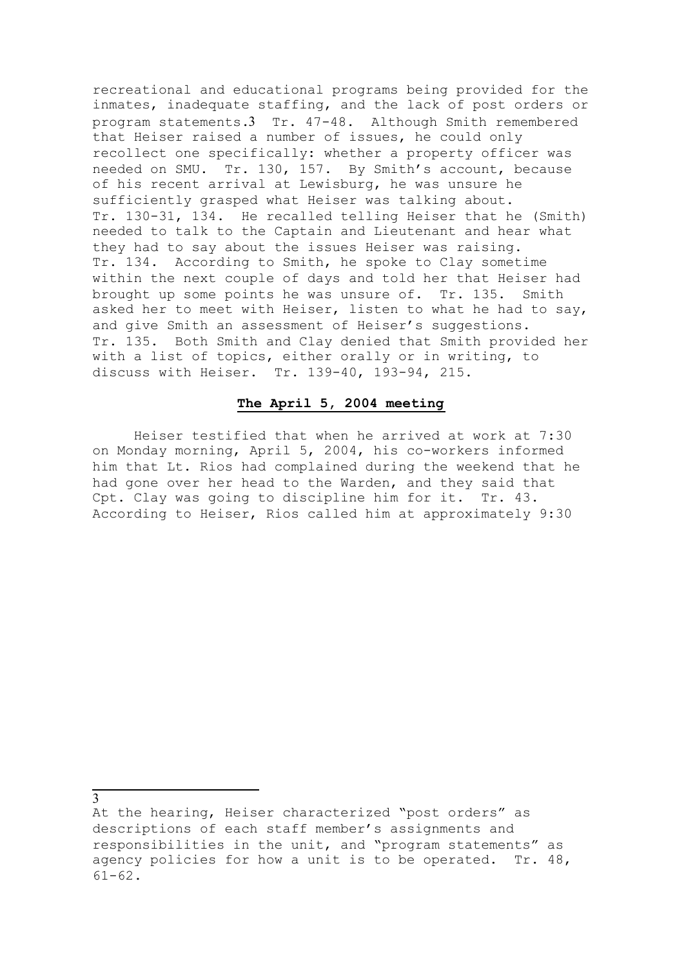recreational and educational programs being provided for the inmates, inadequate staffing, and the lack of post orders or program statements.3 Tr. 47-48. Although Smith remembered that Heiser raised a number of issues, he could only recollect one specifically: whether a property officer was needed on SMU. Tr. 130, 157. By Smith's account, because of his recent arrival at Lewisburg, he was unsure he sufficiently grasped what Heiser was talking about. Tr. 130-31, 134. He recalled telling Heiser that he (Smith) needed to talk to the Captain and Lieutenant and hear what they had to say about the issues Heiser was raising. Tr. 134. According to Smith, he spoke to Clay sometime within the next couple of days and told her that Heiser had brought up some points he was unsure of. Tr. 135. Smith asked her to meet with Heiser, listen to what he had to say, and give Smith an assessment of Heiser's suggestions. Tr. 135. Both Smith and Clay denied that Smith provided her with a list of topics, either orally or in writing, to discuss with Heiser. Tr. 139-40, 193-94, 215.

## **The April 5, 2004 meeting**

Heiser testified that when he arrived at work at 7:30 on Monday morning, April 5, 2004, his co-workers informed him that Lt. Rios had complained during the weekend that he had gone over her head to the Warden, and they said that Cpt. Clay was going to discipline him for it. Tr. 43. According to Heiser, Rios called him at approximately 9:30

3

At the hearing, Heiser characterized "post orders" as descriptions of each staff member's assignments and responsibilities in the unit, and "program statements" as agency policies for how a unit is to be operated. Tr. 48, 61-62.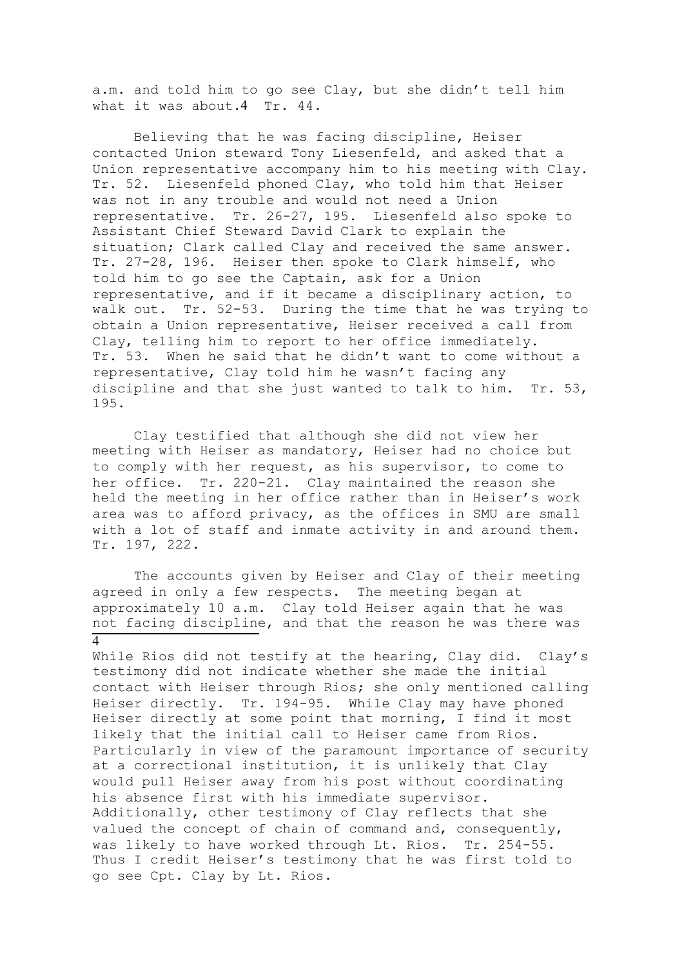a.m. and told him to go see Clay, but she didn't tell him what it was about.4 Tr. 44.

Believing that he was facing discipline, Heiser contacted Union steward Tony Liesenfeld, and asked that a Union representative accompany him to his meeting with Clay. Tr. 52. Liesenfeld phoned Clay, who told him that Heiser was not in any trouble and would not need a Union representative. Tr. 26-27, 195. Liesenfeld also spoke to Assistant Chief Steward David Clark to explain the situation; Clark called Clay and received the same answer. Tr. 27-28, 196. Heiser then spoke to Clark himself, who told him to go see the Captain, ask for a Union representative, and if it became a disciplinary action, to walk out. Tr. 52-53. During the time that he was trying to obtain a Union representative, Heiser received a call from Clay, telling him to report to her office immediately. Tr. 53. When he said that he didn't want to come without a representative, Clay told him he wasn't facing any discipline and that she just wanted to talk to him. Tr. 53, 195.

Clay testified that although she did not view her meeting with Heiser as mandatory, Heiser had no choice but to comply with her request, as his supervisor, to come to her office. Tr. 220-21. Clay maintained the reason she held the meeting in her office rather than in Heiser's work area was to afford privacy, as the offices in SMU are small with a lot of staff and inmate activity in and around them. Tr. 197, 222.

The accounts given by Heiser and Clay of their meeting agreed in only a few respects. The meeting began at approximately 10 a.m. Clay told Heiser again that he was not facing discipline, and that the reason he was there was  $\overline{4}$ 

While Rios did not testify at the hearing, Clay did. Clay's testimony did not indicate whether she made the initial contact with Heiser through Rios; she only mentioned calling Heiser directly. Tr. 194-95. While Clay may have phoned Heiser directly at some point that morning, I find it most likely that the initial call to Heiser came from Rios. Particularly in view of the paramount importance of security at a correctional institution, it is unlikely that Clay would pull Heiser away from his post without coordinating his absence first with his immediate supervisor. Additionally, other testimony of Clay reflects that she valued the concept of chain of command and, consequently, was likely to have worked through Lt. Rios. Tr. 254-55. Thus I credit Heiser's testimony that he was first told to go see Cpt. Clay by Lt. Rios.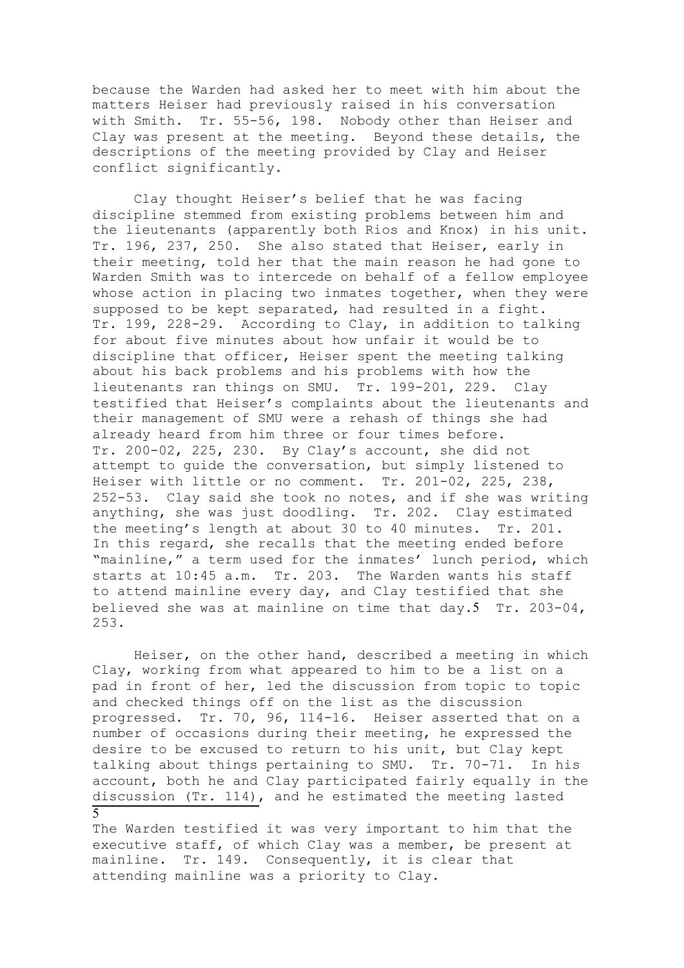because the Warden had asked her to meet with him about the matters Heiser had previously raised in his conversation with Smith. Tr. 55-56, 198. Nobody other than Heiser and Clay was present at the meeting. Beyond these details, the descriptions of the meeting provided by Clay and Heiser conflict significantly.

Clay thought Heiser's belief that he was facing discipline stemmed from existing problems between him and the lieutenants (apparently both Rios and Knox) in his unit. Tr. 196, 237, 250. She also stated that Heiser, early in their meeting, told her that the main reason he had gone to Warden Smith was to intercede on behalf of a fellow employee whose action in placing two inmates together, when they were supposed to be kept separated, had resulted in a fight. Tr. 199, 228-29. According to Clay, in addition to talking for about five minutes about how unfair it would be to discipline that officer, Heiser spent the meeting talking about his back problems and his problems with how the lieutenants ran things on SMU. Tr. 199-201, 229. Clay testified that Heiser's complaints about the lieutenants and their management of SMU were a rehash of things she had already heard from him three or four times before. Tr. 200-02, 225, 230. By Clay's account, she did not attempt to guide the conversation, but simply listened to Heiser with little or no comment. Tr. 201-02, 225, 238, 252-53. Clay said she took no notes, and if she was writing anything, she was just doodling. Tr. 202. Clay estimated the meeting's length at about 30 to 40 minutes. Tr. 201. In this regard, she recalls that the meeting ended before "mainline," a term used for the inmates' lunch period, which starts at 10:45 a.m. Tr. 203. The Warden wants his staff to attend mainline every day, and Clay testified that she believed she was at mainline on time that day.5 Tr. 203-04, 253.

Heiser, on the other hand, described a meeting in which Clay, working from what appeared to him to be a list on a pad in front of her, led the discussion from topic to topic and checked things off on the list as the discussion progressed. Tr. 70, 96, 114-16. Heiser asserted that on a number of occasions during their meeting, he expressed the desire to be excused to return to his unit, but Clay kept talking about things pertaining to SMU. Tr. 70-71. In his account, both he and Clay participated fairly equally in the discussion (Tr. 114), and he estimated the meeting lasted 5

The Warden testified it was very important to him that the executive staff, of which Clay was a member, be present at mainline. Tr. 149. Consequently, it is clear that attending mainline was a priority to Clay.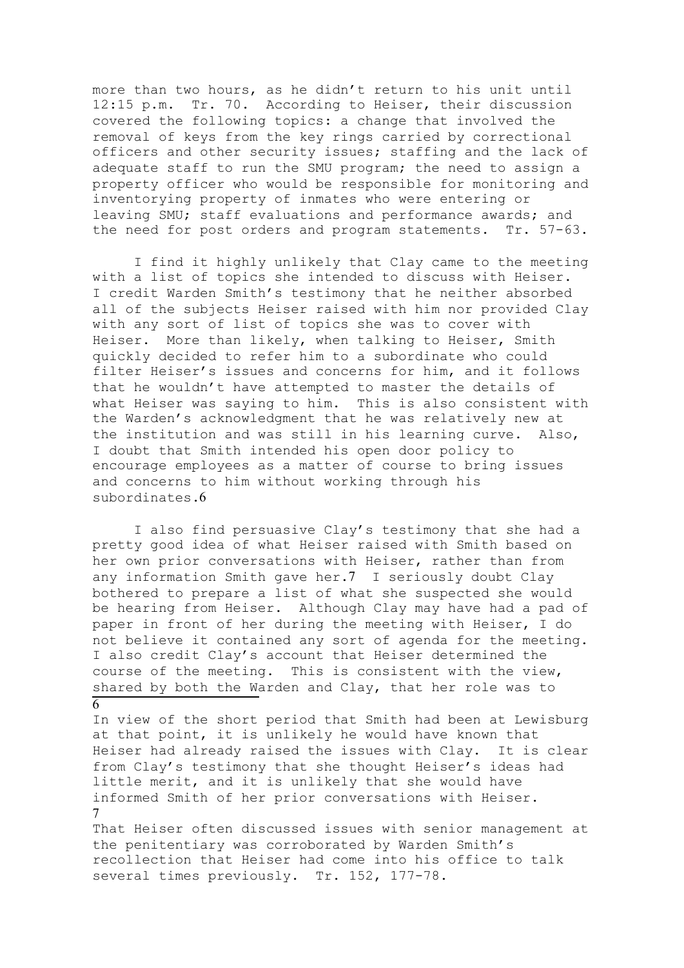more than two hours, as he didn't return to his unit until 12:15 p.m. Tr. 70. According to Heiser, their discussion covered the following topics: a change that involved the removal of keys from the key rings carried by correctional officers and other security issues; staffing and the lack of adequate staff to run the SMU program; the need to assign a property officer who would be responsible for monitoring and inventorying property of inmates who were entering or leaving SMU; staff evaluations and performance awards; and the need for post orders and program statements. Tr. 57-63.

I find it highly unlikely that Clay came to the meeting with a list of topics she intended to discuss with Heiser. I credit Warden Smith's testimony that he neither absorbed all of the subjects Heiser raised with him nor provided Clay with any sort of list of topics she was to cover with Heiser. More than likely, when talking to Heiser, Smith quickly decided to refer him to a subordinate who could filter Heiser's issues and concerns for him, and it follows that he wouldn't have attempted to master the details of what Heiser was saying to him. This is also consistent with the Warden's acknowledgment that he was relatively new at the institution and was still in his learning curve. Also, I doubt that Smith intended his open door policy to encourage employees as a matter of course to bring issues and concerns to him without working through his subordinates.6

I also find persuasive Clay's testimony that she had a pretty good idea of what Heiser raised with Smith based on her own prior conversations with Heiser, rather than from any information Smith gave her.7 I seriously doubt Clay bothered to prepare a list of what she suspected she would be hearing from Heiser. Although Clay may have had a pad of paper in front of her during the meeting with Heiser, I do not believe it contained any sort of agenda for the meeting. I also credit Clay's account that Heiser determined the course of the meeting. This is consistent with the view, shared by both the Warden and Clay, that her role was to

6

In view of the short period that Smith had been at Lewisburg at that point, it is unlikely he would have known that Heiser had already raised the issues with Clay. It is clear from Clay's testimony that she thought Heiser's ideas had little merit, and it is unlikely that she would have informed Smith of her prior conversations with Heiser. 7

That Heiser often discussed issues with senior management at the penitentiary was corroborated by Warden Smith's recollection that Heiser had come into his office to talk several times previously. Tr. 152, 177-78.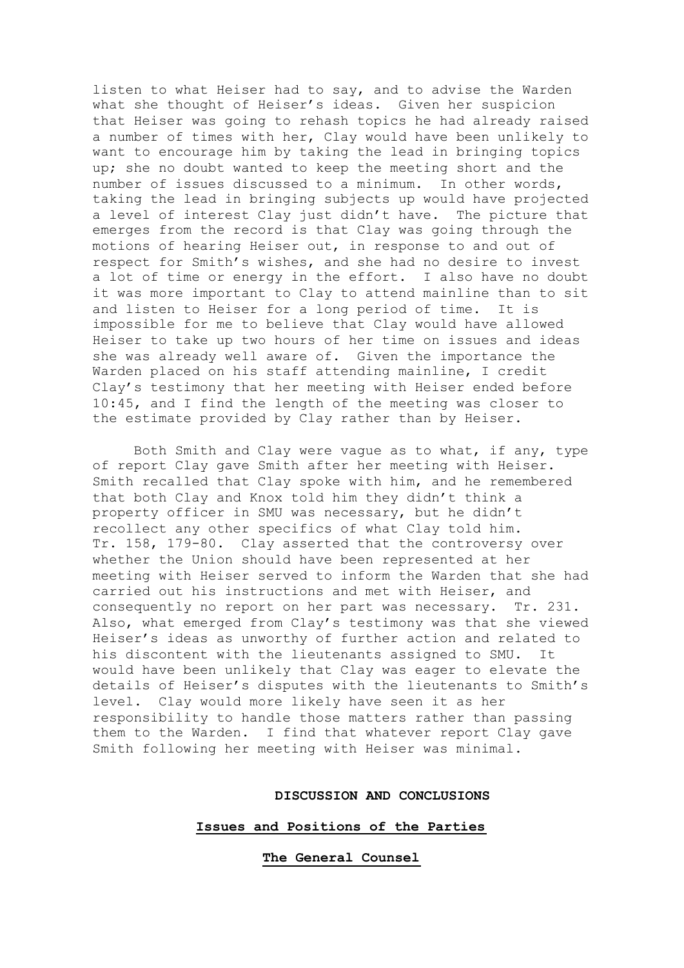listen to what Heiser had to say, and to advise the Warden what she thought of Heiser's ideas. Given her suspicion that Heiser was going to rehash topics he had already raised a number of times with her, Clay would have been unlikely to want to encourage him by taking the lead in bringing topics up; she no doubt wanted to keep the meeting short and the number of issues discussed to a minimum. In other words, taking the lead in bringing subjects up would have projected a level of interest Clay just didn't have. The picture that emerges from the record is that Clay was going through the motions of hearing Heiser out, in response to and out of respect for Smith's wishes, and she had no desire to invest a lot of time or energy in the effort. I also have no doubt it was more important to Clay to attend mainline than to sit and listen to Heiser for a long period of time. It is impossible for me to believe that Clay would have allowed Heiser to take up two hours of her time on issues and ideas she was already well aware of. Given the importance the Warden placed on his staff attending mainline, I credit Clay's testimony that her meeting with Heiser ended before 10:45, and I find the length of the meeting was closer to the estimate provided by Clay rather than by Heiser.

Both Smith and Clay were vague as to what, if any, type of report Clay gave Smith after her meeting with Heiser. Smith recalled that Clay spoke with him, and he remembered that both Clay and Knox told him they didn't think a property officer in SMU was necessary, but he didn't recollect any other specifics of what Clay told him. Tr. 158, 179-80. Clay asserted that the controversy over whether the Union should have been represented at her meeting with Heiser served to inform the Warden that she had carried out his instructions and met with Heiser, and consequently no report on her part was necessary. Tr. 231. Also, what emerged from Clay's testimony was that she viewed Heiser's ideas as unworthy of further action and related to his discontent with the lieutenants assigned to SMU. It would have been unlikely that Clay was eager to elevate the details of Heiser's disputes with the lieutenants to Smith's level. Clay would more likely have seen it as her responsibility to handle those matters rather than passing them to the Warden. I find that whatever report Clay gave Smith following her meeting with Heiser was minimal.

#### **DISCUSSION AND CONCLUSIONS**

#### **Issues and Positions of the Parties**

**The General Counsel**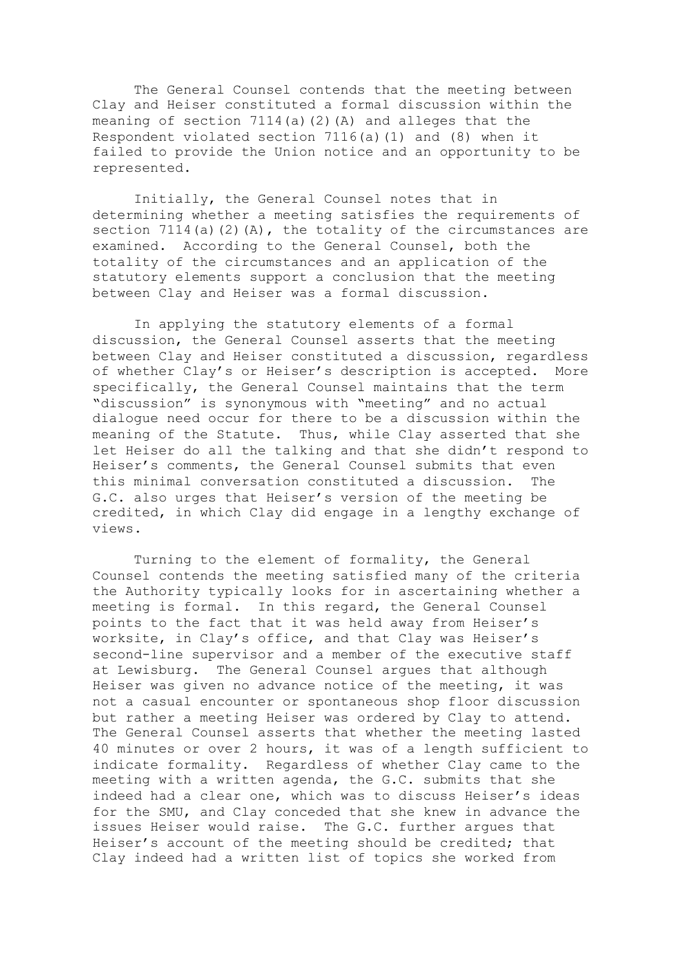The General Counsel contends that the meeting between Clay and Heiser constituted a formal discussion within the meaning of section 7114(a)(2)(A) and alleges that the Respondent violated section 7116(a)(1) and (8) when it failed to provide the Union notice and an opportunity to be represented.

Initially, the General Counsel notes that in determining whether a meeting satisfies the requirements of section  $7114(a)(2)(A)$ , the totality of the circumstances are examined. According to the General Counsel, both the totality of the circumstances and an application of the statutory elements support a conclusion that the meeting between Clay and Heiser was a formal discussion.

In applying the statutory elements of a formal discussion, the General Counsel asserts that the meeting between Clay and Heiser constituted a discussion, regardless of whether Clay's or Heiser's description is accepted. More specifically, the General Counsel maintains that the term "discussion" is synonymous with "meeting" and no actual dialogue need occur for there to be a discussion within the meaning of the Statute. Thus, while Clay asserted that she let Heiser do all the talking and that she didn't respond to Heiser's comments, the General Counsel submits that even this minimal conversation constituted a discussion. The G.C. also urges that Heiser's version of the meeting be credited, in which Clay did engage in a lengthy exchange of views.

Turning to the element of formality, the General Counsel contends the meeting satisfied many of the criteria the Authority typically looks for in ascertaining whether a meeting is formal. In this regard, the General Counsel points to the fact that it was held away from Heiser's worksite, in Clay's office, and that Clay was Heiser's second-line supervisor and a member of the executive staff at Lewisburg. The General Counsel argues that although Heiser was given no advance notice of the meeting, it was not a casual encounter or spontaneous shop floor discussion but rather a meeting Heiser was ordered by Clay to attend. The General Counsel asserts that whether the meeting lasted 40 minutes or over 2 hours, it was of a length sufficient to indicate formality. Regardless of whether Clay came to the meeting with a written agenda, the G.C. submits that she indeed had a clear one, which was to discuss Heiser's ideas for the SMU, and Clay conceded that she knew in advance the issues Heiser would raise. The G.C. further argues that Heiser's account of the meeting should be credited; that Clay indeed had a written list of topics she worked from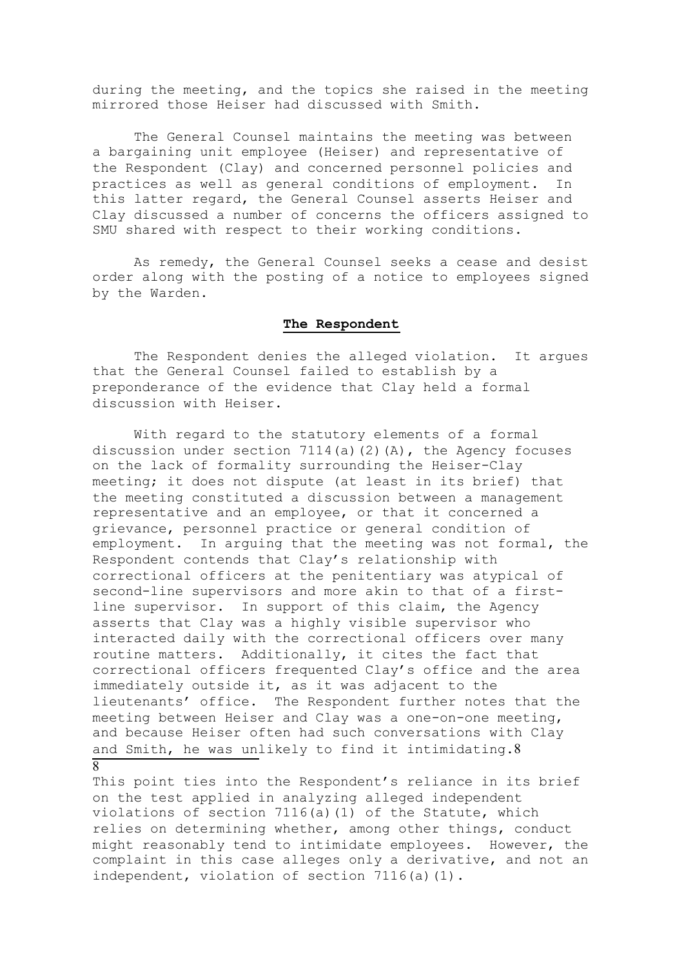during the meeting, and the topics she raised in the meeting mirrored those Heiser had discussed with Smith.

The General Counsel maintains the meeting was between a bargaining unit employee (Heiser) and representative of the Respondent (Clay) and concerned personnel policies and practices as well as general conditions of employment. In this latter regard, the General Counsel asserts Heiser and Clay discussed a number of concerns the officers assigned to SMU shared with respect to their working conditions.

As remedy, the General Counsel seeks a cease and desist order along with the posting of a notice to employees signed by the Warden.

# **The Respondent**

The Respondent denies the alleged violation. It argues that the General Counsel failed to establish by a preponderance of the evidence that Clay held a formal discussion with Heiser.

With regard to the statutory elements of a formal discussion under section 7114(a)(2)(A), the Agency focuses on the lack of formality surrounding the Heiser-Clay meeting; it does not dispute (at least in its brief) that the meeting constituted a discussion between a management representative and an employee, or that it concerned a grievance, personnel practice or general condition of employment. In arguing that the meeting was not formal, the Respondent contends that Clay's relationship with correctional officers at the penitentiary was atypical of second-line supervisors and more akin to that of a firstline supervisor. In support of this claim, the Agency asserts that Clay was a highly visible supervisor who interacted daily with the correctional officers over many routine matters. Additionally, it cites the fact that correctional officers frequented Clay's office and the area immediately outside it, as it was adjacent to the lieutenants' office. The Respondent further notes that the meeting between Heiser and Clay was a one-on-one meeting, and because Heiser often had such conversations with Clay and Smith, he was unlikely to find it intimidating.8 8

This point ties into the Respondent's reliance in its brief on the test applied in analyzing alleged independent violations of section 7116(a)(1) of the Statute, which relies on determining whether, among other things, conduct might reasonably tend to intimidate employees. However, the complaint in this case alleges only a derivative, and not an independent, violation of section 7116(a)(1).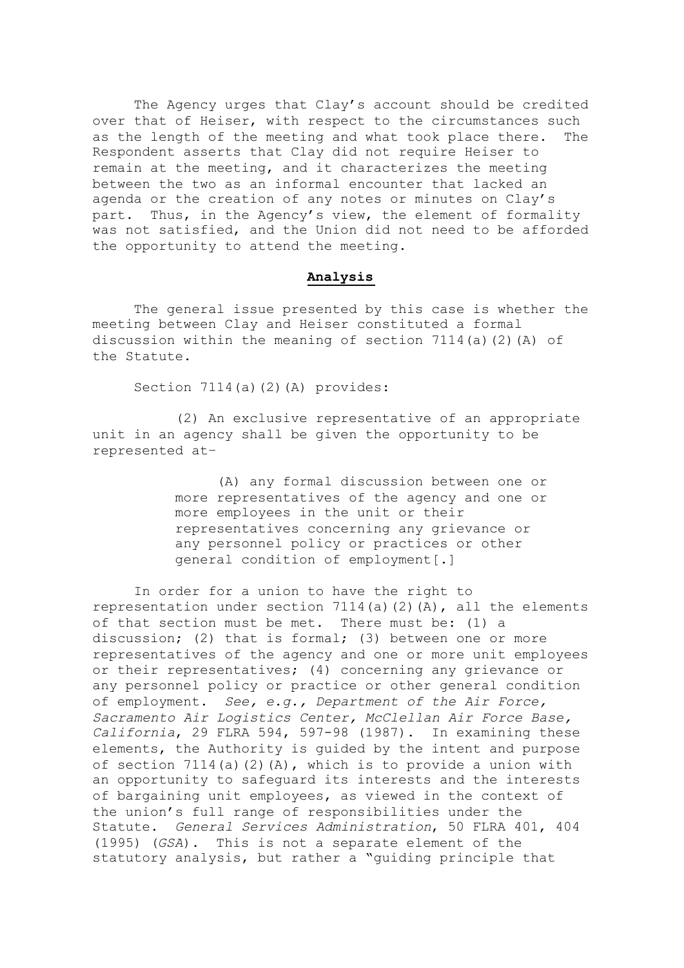The Agency urges that Clay's account should be credited over that of Heiser, with respect to the circumstances such as the length of the meeting and what took place there. The Respondent asserts that Clay did not require Heiser to remain at the meeting, and it characterizes the meeting between the two as an informal encounter that lacked an agenda or the creation of any notes or minutes on Clay's part. Thus, in the Agency's view, the element of formality was not satisfied, and the Union did not need to be afforded the opportunity to attend the meeting.

## **Analysis**

The general issue presented by this case is whether the meeting between Clay and Heiser constituted a formal discussion within the meaning of section 7114(a)(2)(A) of the Statute.

Section 7114(a)(2)(A) provides:

 (2) An exclusive representative of an appropriate unit in an agency shall be given the opportunity to be represented at–

> (A) any formal discussion between one or more representatives of the agency and one or more employees in the unit or their representatives concerning any grievance or any personnel policy or practices or other general condition of employment[.]

In order for a union to have the right to representation under section 7114(a)(2)(A), all the elements of that section must be met. There must be: (1) a discussion; (2) that is formal; (3) between one or more representatives of the agency and one or more unit employees or their representatives; (4) concerning any grievance or any personnel policy or practice or other general condition of employment. *See, e.g., Department of the Air Force, Sacramento Air Logistics Center, McClellan Air Force Base, California*, 29 FLRA 594, 597-98 (1987). In examining these elements, the Authority is guided by the intent and purpose of section  $7114(a)(2)(A)$ , which is to provide a union with an opportunity to safeguard its interests and the interests of bargaining unit employees, as viewed in the context of the union's full range of responsibilities under the Statute. *General Services Administration*, 50 FLRA 401, 404 (1995) (*GSA*). This is not a separate element of the statutory analysis, but rather a "guiding principle that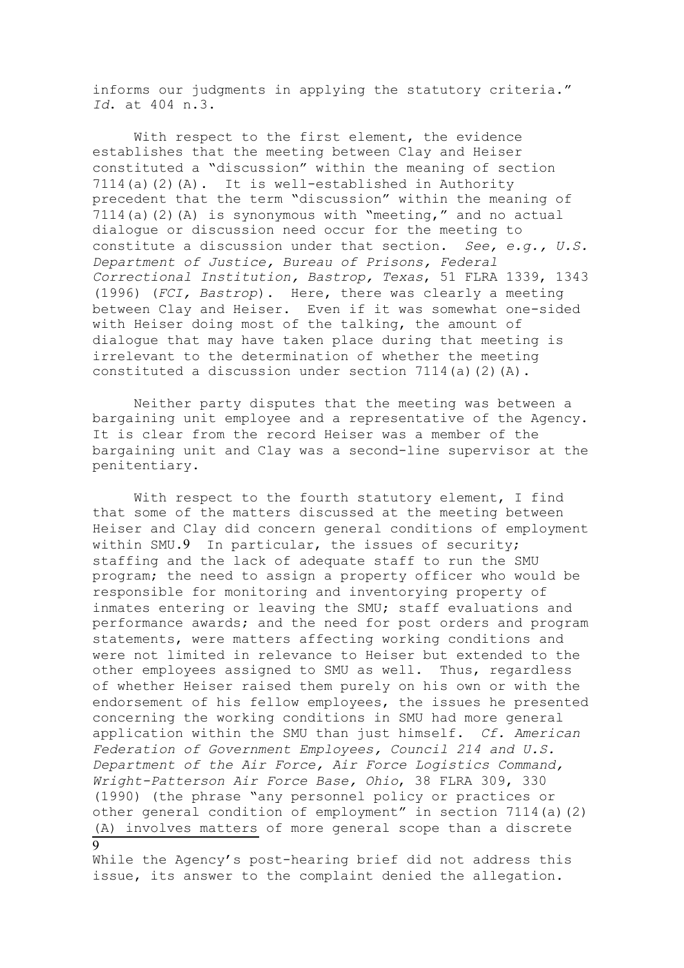informs our judgments in applying the statutory criteria." *Id*. at 404 n.3.

With respect to the first element, the evidence establishes that the meeting between Clay and Heiser constituted a "discussion" within the meaning of section 7114(a)(2)(A). It is well-established in Authority precedent that the term "discussion" within the meaning of 7114(a)(2)(A) is synonymous with "meeting," and no actual dialogue or discussion need occur for the meeting to constitute a discussion under that section. *See, e.g., U.S. Department of Justice, Bureau of Prisons, Federal Correctional Institution, Bastrop, Texas*, 51 FLRA 1339, 1343 (1996) (*FCI, Bastrop*). Here, there was clearly a meeting between Clay and Heiser. Even if it was somewhat one-sided with Heiser doing most of the talking, the amount of dialogue that may have taken place during that meeting is irrelevant to the determination of whether the meeting constituted a discussion under section  $7114(a)(2)(A)$ .

Neither party disputes that the meeting was between a bargaining unit employee and a representative of the Agency. It is clear from the record Heiser was a member of the bargaining unit and Clay was a second-line supervisor at the penitentiary.

With respect to the fourth statutory element, I find that some of the matters discussed at the meeting between Heiser and Clay did concern general conditions of employment within SMU.9 In particular, the issues of security; staffing and the lack of adequate staff to run the SMU program; the need to assign a property officer who would be responsible for monitoring and inventorying property of inmates entering or leaving the SMU; staff evaluations and performance awards; and the need for post orders and program statements, were matters affecting working conditions and were not limited in relevance to Heiser but extended to the other employees assigned to SMU as well. Thus, regardless of whether Heiser raised them purely on his own or with the endorsement of his fellow employees, the issues he presented concerning the working conditions in SMU had more general application within the SMU than just himself. *Cf. American Federation of Government Employees, Council 214 and U.S. Department of the Air Force, Air Force Logistics Command, Wright-Patterson Air Force Base, Ohio*, 38 FLRA 309, 330 (1990) (the phrase "any personnel policy or practices or other general condition of employment" in section 7114(a)(2) (A) involves matters of more general scope than a discrete 9

While the Agency's post-hearing brief did not address this issue, its answer to the complaint denied the allegation.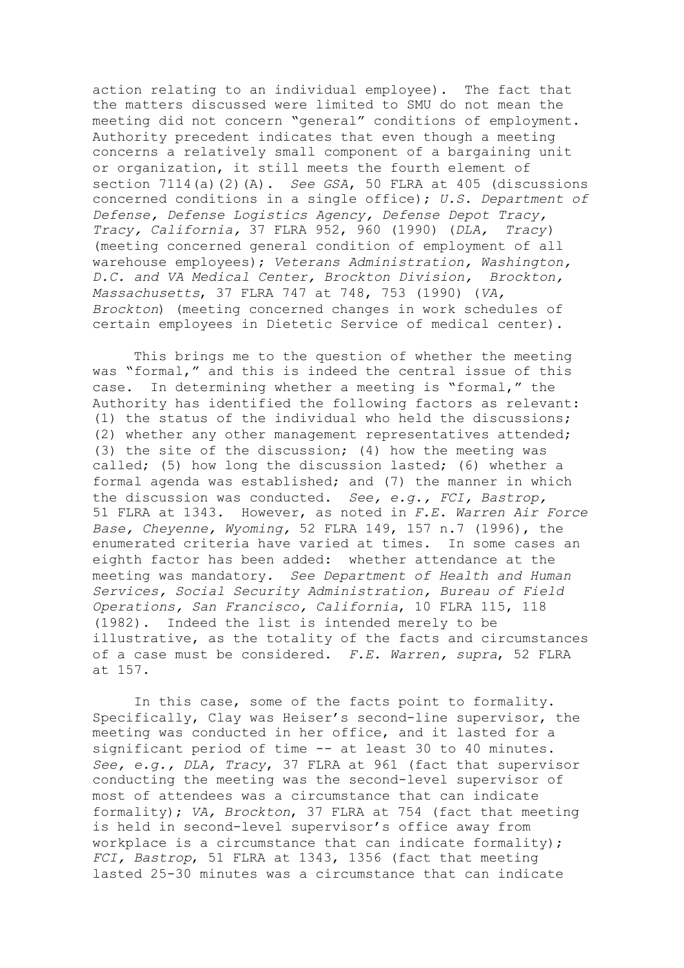action relating to an individual employee). The fact that the matters discussed were limited to SMU do not mean the meeting did not concern "general" conditions of employment. Authority precedent indicates that even though a meeting concerns a relatively small component of a bargaining unit or organization, it still meets the fourth element of section 7114(a)(2)(A). *See GSA*, 50 FLRA at 405 (discussions concerned conditions in a single office); *U.S. Department of Defense, Defense Logistics Agency, Defense Depot Tracy, Tracy, California,* 37 FLRA 952, 960 (1990) (*DLA, Tracy*) (meeting concerned general condition of employment of all warehouse employees); *Veterans Administration, Washington, D.C. and VA Medical Center, Brockton Division, Brockton, Massachusetts*, 37 FLRA 747 at 748, 753 (1990) (*VA, Brockton*) (meeting concerned changes in work schedules of certain employees in Dietetic Service of medical center).

This brings me to the question of whether the meeting was "formal," and this is indeed the central issue of this case. In determining whether a meeting is "formal," the Authority has identified the following factors as relevant: (1) the status of the individual who held the discussions; (2) whether any other management representatives attended; (3) the site of the discussion; (4) how the meeting was called; (5) how long the discussion lasted; (6) whether a formal agenda was established; and (7) the manner in which the discussion was conducted. *See, e.g., FCI, Bastrop,*  51 FLRA at 1343. However, as noted in *F.E. Warren Air Force Base, Cheyenne, Wyoming,* 52 FLRA 149, 157 n.7 (1996), the enumerated criteria have varied at times. In some cases an eighth factor has been added: whether attendance at the meeting was mandatory. *See Department of Health and Human Services, Social Security Administration, Bureau of Field Operations, San Francisco, California*, 10 FLRA 115, 118 (1982). Indeed the list is intended merely to be illustrative, as the totality of the facts and circumstances of a case must be considered. *F.E. Warren, supra*, 52 FLRA at 157.

In this case, some of the facts point to formality. Specifically, Clay was Heiser's second-line supervisor, the meeting was conducted in her office, and it lasted for a significant period of time -- at least 30 to 40 minutes. *See, e.g., DLA, Tracy*, 37 FLRA at 961 (fact that supervisor conducting the meeting was the second-level supervisor of most of attendees was a circumstance that can indicate formality); *VA, Brockton*, 37 FLRA at 754 (fact that meeting is held in second-level supervisor's office away from workplace is a circumstance that can indicate formality); *FCI, Bastrop*, 51 FLRA at 1343, 1356 (fact that meeting lasted 25-30 minutes was a circumstance that can indicate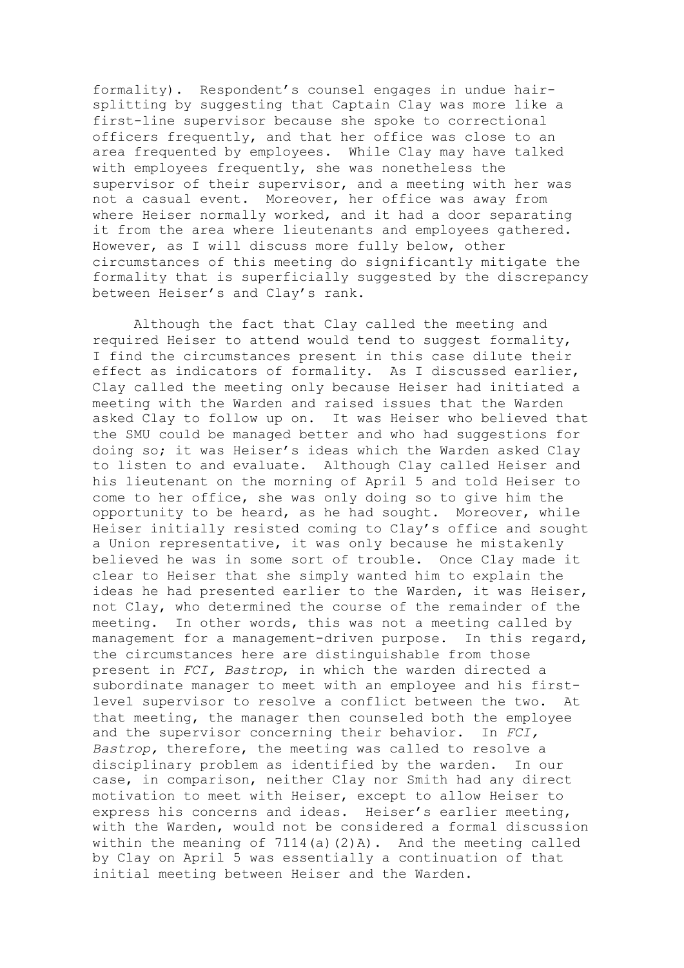formality). Respondent's counsel engages in undue hairsplitting by suggesting that Captain Clay was more like a first-line supervisor because she spoke to correctional officers frequently, and that her office was close to an area frequented by employees. While Clay may have talked with employees frequently, she was nonetheless the supervisor of their supervisor, and a meeting with her was not a casual event. Moreover, her office was away from where Heiser normally worked, and it had a door separating it from the area where lieutenants and employees gathered. However, as I will discuss more fully below, other circumstances of this meeting do significantly mitigate the formality that is superficially suggested by the discrepancy between Heiser's and Clay's rank.

Although the fact that Clay called the meeting and required Heiser to attend would tend to suggest formality, I find the circumstances present in this case dilute their effect as indicators of formality. As I discussed earlier, Clay called the meeting only because Heiser had initiated a meeting with the Warden and raised issues that the Warden asked Clay to follow up on. It was Heiser who believed that the SMU could be managed better and who had suggestions for doing so; it was Heiser's ideas which the Warden asked Clay to listen to and evaluate. Although Clay called Heiser and his lieutenant on the morning of April 5 and told Heiser to come to her office, she was only doing so to give him the opportunity to be heard, as he had sought. Moreover, while Heiser initially resisted coming to Clay's office and sought a Union representative, it was only because he mistakenly believed he was in some sort of trouble. Once Clay made it clear to Heiser that she simply wanted him to explain the ideas he had presented earlier to the Warden, it was Heiser, not Clay, who determined the course of the remainder of the meeting. In other words, this was not a meeting called by management for a management-driven purpose. In this regard, the circumstances here are distinguishable from those present in *FCI, Bastrop*, in which the warden directed a subordinate manager to meet with an employee and his firstlevel supervisor to resolve a conflict between the two. At that meeting, the manager then counseled both the employee and the supervisor concerning their behavior. In *FCI, Bastrop,* therefore, the meeting was called to resolve a disciplinary problem as identified by the warden. In our case, in comparison, neither Clay nor Smith had any direct motivation to meet with Heiser, except to allow Heiser to express his concerns and ideas. Heiser's earlier meeting, with the Warden, would not be considered a formal discussion within the meaning of  $7114(a)(2)A$ . And the meeting called by Clay on April 5 was essentially a continuation of that initial meeting between Heiser and the Warden.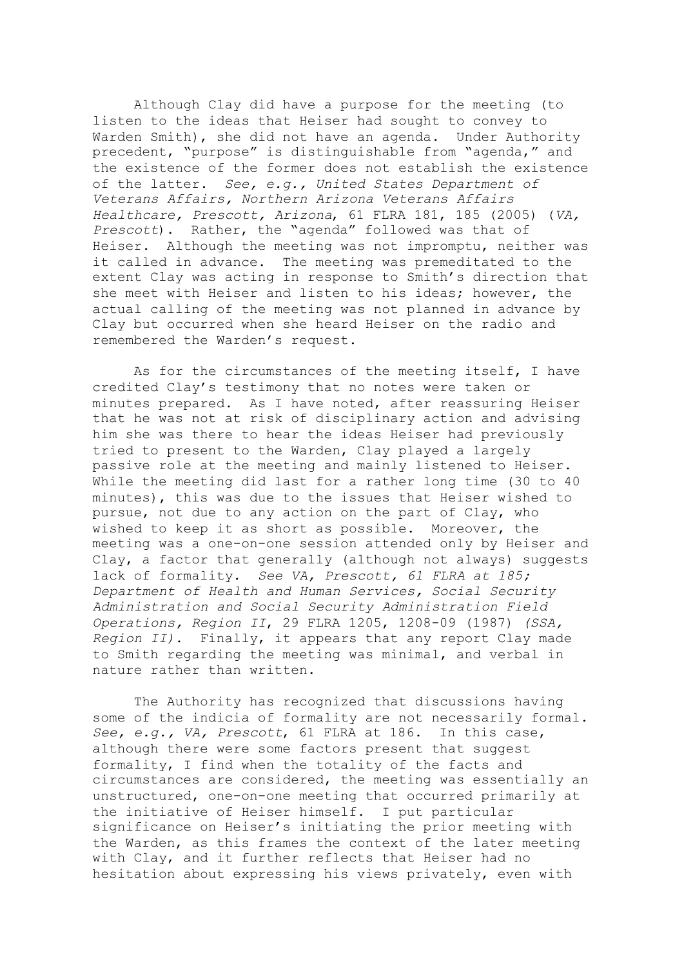Although Clay did have a purpose for the meeting (to listen to the ideas that Heiser had sought to convey to Warden Smith), she did not have an agenda. Under Authority precedent, "purpose" is distinguishable from "agenda," and the existence of the former does not establish the existence of the latter. *See, e.g., United States Department of Veterans Affairs, Northern Arizona Veterans Affairs Healthcare, Prescott, Arizona*, 61 FLRA 181, 185 (2005) (*VA, Prescott*). Rather, the "agenda" followed was that of Heiser. Although the meeting was not impromptu, neither was it called in advance. The meeting was premeditated to the extent Clay was acting in response to Smith's direction that she meet with Heiser and listen to his ideas; however, the actual calling of the meeting was not planned in advance by Clay but occurred when she heard Heiser on the radio and remembered the Warden's request.

As for the circumstances of the meeting itself, I have credited Clay's testimony that no notes were taken or minutes prepared. As I have noted, after reassuring Heiser that he was not at risk of disciplinary action and advising him she was there to hear the ideas Heiser had previously tried to present to the Warden, Clay played a largely passive role at the meeting and mainly listened to Heiser. While the meeting did last for a rather long time (30 to 40 minutes), this was due to the issues that Heiser wished to pursue, not due to any action on the part of Clay, who wished to keep it as short as possible. Moreover, the meeting was a one-on-one session attended only by Heiser and Clay, a factor that generally (although not always) suggests lack of formality. *See VA, Prescott, 61 FLRA at 185; Department of Health and Human Services, Social Security Administration and Social Security Administration Field Operations, Region II*, 29 FLRA 1205, 1208-09 (1987) *(SSA, Region II)*. Finally, it appears that any report Clay made to Smith regarding the meeting was minimal, and verbal in nature rather than written.

The Authority has recognized that discussions having some of the indicia of formality are not necessarily formal. *See, e.g., VA, Prescott*, 61 FLRA at 186. In this case, although there were some factors present that suggest formality, I find when the totality of the facts and circumstances are considered, the meeting was essentially an unstructured, one-on-one meeting that occurred primarily at the initiative of Heiser himself. I put particular significance on Heiser's initiating the prior meeting with the Warden, as this frames the context of the later meeting with Clay, and it further reflects that Heiser had no hesitation about expressing his views privately, even with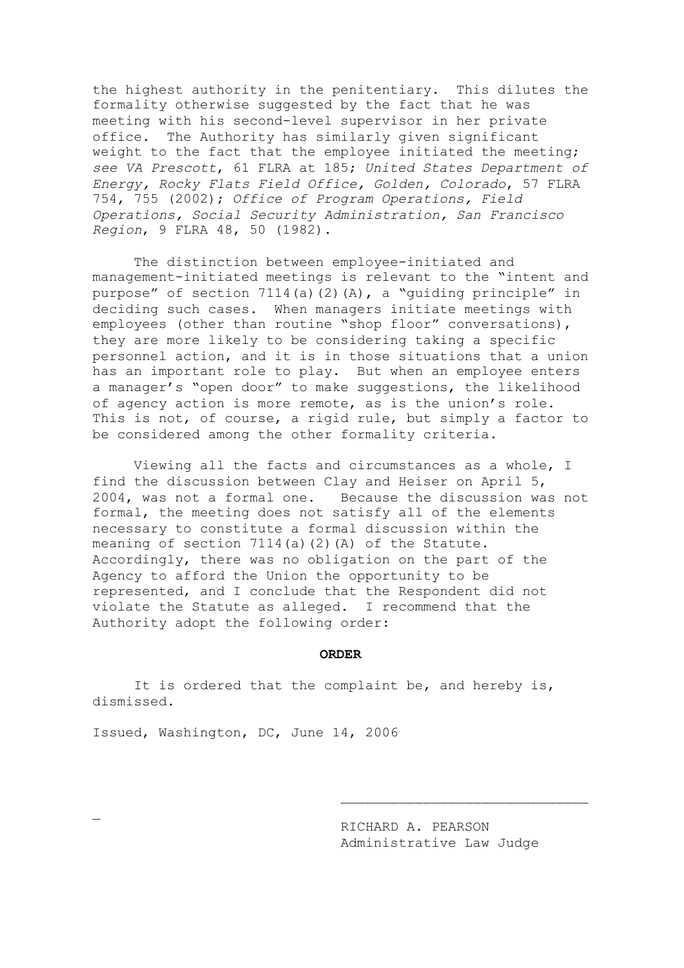the highest authority in the penitentiary. This dilutes the formality otherwise suggested by the fact that he was meeting with his second-level supervisor in her private office. The Authority has similarly given significant weight to the fact that the employee initiated the meeting; *see VA Prescott*, 61 FLRA at 185; *United States Department of Energy, Rocky Flats Field Office, Golden, Colorado*, 57 FLRA 754, 755 (2002); *Office of Program Operations, Field Operations, Social Security Administration, San Francisco Region*, 9 FLRA 48, 50 (1982).

The distinction between employee-initiated and management-initiated meetings is relevant to the "intent and purpose" of section 7114(a)(2)(A), a "guiding principle" in deciding such cases. When managers initiate meetings with employees (other than routine "shop floor" conversations), they are more likely to be considering taking a specific personnel action, and it is in those situations that a union has an important role to play. But when an employee enters a manager's "open door" to make suggestions, the likelihood of agency action is more remote, as is the union's role. This is not, of course, a rigid rule, but simply a factor to be considered among the other formality criteria.

Viewing all the facts and circumstances as a whole, I find the discussion between Clay and Heiser on April 5, 2004, was not a formal one. Because the discussion was not formal, the meeting does not satisfy all of the elements necessary to constitute a formal discussion within the meaning of section 7114(a)(2)(A) of the Statute. Accordingly, there was no obligation on the part of the Agency to afford the Union the opportunity to be represented, and I conclude that the Respondent did not violate the Statute as alleged. I recommend that the Authority adopt the following order:

#### **ORDER**

It is ordered that the complaint be, and hereby is, dismissed.

Issued, Washington, DC, June 14, 2006

 $\overline{a}$ 

RICHARD A. PEARSON Administrative Law Judge

 $\overline{\phantom{a}}$  , where  $\overline{\phantom{a}}$  , where  $\overline{\phantom{a}}$  ,  $\overline{\phantom{a}}$  ,  $\overline{\phantom{a}}$  ,  $\overline{\phantom{a}}$  ,  $\overline{\phantom{a}}$  ,  $\overline{\phantom{a}}$  ,  $\overline{\phantom{a}}$  ,  $\overline{\phantom{a}}$  ,  $\overline{\phantom{a}}$  ,  $\overline{\phantom{a}}$  ,  $\overline{\phantom{a}}$  ,  $\overline{\phantom{a}}$  ,  $\overline{\phantom{a}}$  ,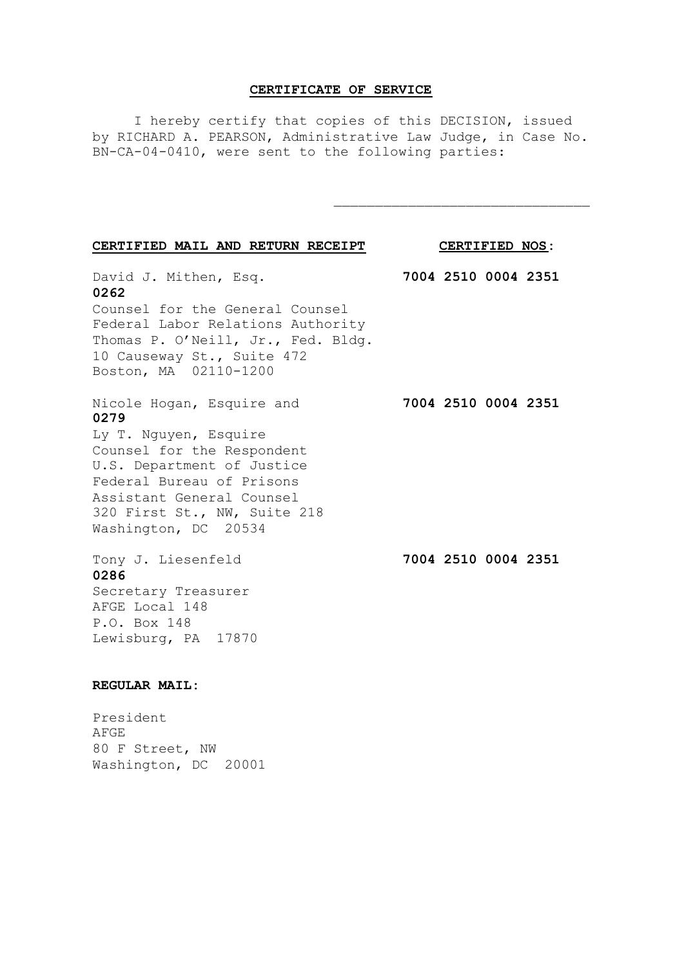## **CERTIFICATE OF SERVICE**

I hereby certify that copies of this DECISION, issued by RICHARD A. PEARSON, Administrative Law Judge, in Case No. BN-CA-04-0410, were sent to the following parties:

\_\_\_\_\_\_\_\_\_\_\_\_\_\_\_\_\_\_\_\_\_\_\_\_\_\_\_\_\_\_\_

| CERTIFIED MAIL AND RETURN RECEIPT                                                                                                                                                                                                        | CERTIFIED NOS: |  |                     |  |
|------------------------------------------------------------------------------------------------------------------------------------------------------------------------------------------------------------------------------------------|----------------|--|---------------------|--|
| David J. Mithen, Esq.<br>0262<br>Counsel for the General Counsel<br>Federal Labor Relations Authority<br>Thomas P. O'Neill, Jr., Fed. Bldg.<br>10 Causeway St., Suite 472<br>Boston, MA 02110-1200                                       |                |  | 7004 2510 0004 2351 |  |
| Nicole Hogan, Esquire and<br>0279<br>Ly T. Nguyen, Esquire<br>Counsel for the Respondent<br>U.S. Department of Justice<br>Federal Bureau of Prisons<br>Assistant General Counsel<br>320 First St., NW, Suite 218<br>Washington, DC 20534 |                |  | 7004 2510 0004 2351 |  |
| Tony J. Liesenfeld<br>0286<br>Secretary Treasurer<br>AFGE Local 148<br>P.O. Box 148<br>Lewisburg, PA 17870                                                                                                                               |                |  | 7004 2510 0004 2351 |  |

# **REGULAR MAIL:**

President AFGE 80 F Street, NW Washington, DC 20001